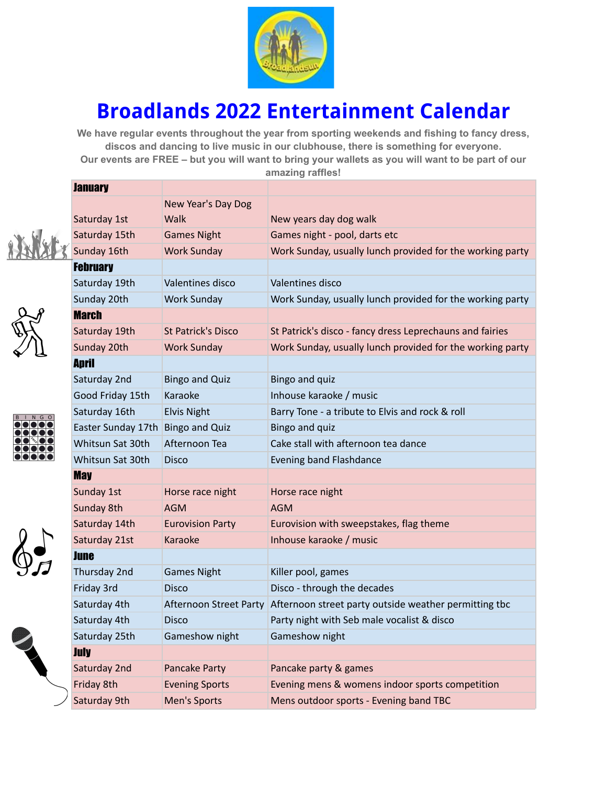

## **Broadlands 2022 Entertainment Calendar**

**We have regular events throughout the year from sporting weekends and fishing to fancy dress, discos and dancing to live music in our clubhouse, there is something for everyone.** Our events are FREE - but you will want to bring your wallets as you will want to be part of our **amazing raffles!**





| $\overline{\mathsf{B}}$ | G |  |
|-------------------------|---|--|
|                         |   |  |
|                         |   |  |
|                         |   |  |
|                         |   |  |
|                         |   |  |





| <b>January</b>     |                               |                                                           |  |
|--------------------|-------------------------------|-----------------------------------------------------------|--|
|                    | New Year's Day Dog            |                                                           |  |
| Saturday 1st       | Walk                          | New years day dog walk                                    |  |
| Saturday 15th      | <b>Games Night</b>            | Games night - pool, darts etc                             |  |
| Sunday 16th        | <b>Work Sunday</b>            | Work Sunday, usually lunch provided for the working party |  |
| <b>February</b>    |                               |                                                           |  |
| Saturday 19th      | Valentines disco              | Valentines disco                                          |  |
| Sunday 20th        | <b>Work Sunday</b>            | Work Sunday, usually lunch provided for the working party |  |
| <b>March</b>       |                               |                                                           |  |
| Saturday 19th      | <b>St Patrick's Disco</b>     | St Patrick's disco - fancy dress Leprechauns and fairies  |  |
| Sunday 20th        | <b>Work Sunday</b>            | Work Sunday, usually lunch provided for the working party |  |
| <b>April</b>       |                               |                                                           |  |
| Saturday 2nd       | <b>Bingo and Quiz</b>         | Bingo and quiz                                            |  |
| Good Friday 15th   | Karaoke                       | Inhouse karaoke / music                                   |  |
| Saturday 16th      | <b>Elvis Night</b>            | Barry Tone - a tribute to Elvis and rock & roll           |  |
| Easter Sunday 17th | <b>Bingo and Quiz</b>         | Bingo and quiz                                            |  |
| Whitsun Sat 30th   | Afternoon Tea                 | Cake stall with afternoon tea dance                       |  |
| Whitsun Sat 30th   | <b>Disco</b>                  | Evening band Flashdance                                   |  |
| <b>May</b>         |                               |                                                           |  |
| Sunday 1st         | Horse race night              | Horse race night                                          |  |
| Sunday 8th         | <b>AGM</b>                    | <b>AGM</b>                                                |  |
| Saturday 14th      | <b>Eurovision Party</b>       | Eurovision with sweepstakes, flag theme                   |  |
| Saturday 21st      | Karaoke                       | Inhouse karaoke / music                                   |  |
| <b>June</b>        |                               |                                                           |  |
| Thursday 2nd       | <b>Games Night</b>            | Killer pool, games                                        |  |
| Friday 3rd         | <b>Disco</b>                  | Disco - through the decades                               |  |
| Saturday 4th       | <b>Afternoon Street Party</b> | Afternoon street party outside weather permitting tbc     |  |
| Saturday 4th       | <b>Disco</b>                  | Party night with Seb male vocalist & disco                |  |
| Saturday 25th      | Gameshow night                | Gameshow night                                            |  |
| <b>July</b>        |                               |                                                           |  |
| Saturday 2nd       | Pancake Party                 | Pancake party & games                                     |  |
| Friday 8th         | <b>Evening Sports</b>         | Evening mens & womens indoor sports competition           |  |
| Saturday 9th       | Men's Sports                  | Mens outdoor sports - Evening band TBC                    |  |